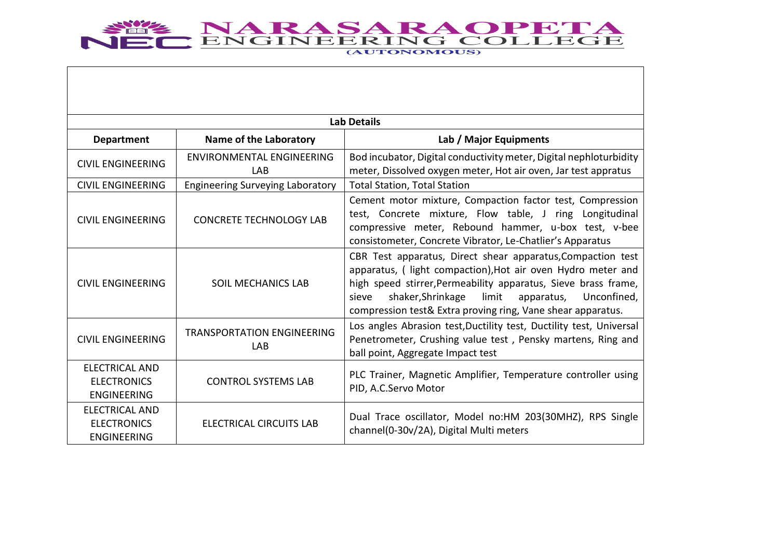

|                                                                   | <b>Lab Details</b>                       |                                                                                                                                                                                                                                                                                                                                  |  |
|-------------------------------------------------------------------|------------------------------------------|----------------------------------------------------------------------------------------------------------------------------------------------------------------------------------------------------------------------------------------------------------------------------------------------------------------------------------|--|
| <b>Department</b>                                                 | <b>Name of the Laboratory</b>            | Lab / Major Equipments                                                                                                                                                                                                                                                                                                           |  |
| <b>CIVIL ENGINEERING</b>                                          | ENVIRONMENTAL ENGINEERING<br>LAB         | Bod incubator, Digital conductivity meter, Digital nephloturbidity<br>meter, Dissolved oxygen meter, Hot air oven, Jar test appratus                                                                                                                                                                                             |  |
| <b>CIVIL ENGINEERING</b>                                          | <b>Engineering Surveying Laboratory</b>  | <b>Total Station, Total Station</b>                                                                                                                                                                                                                                                                                              |  |
| <b>CIVIL ENGINEERING</b>                                          | <b>CONCRETE TECHNOLOGY LAB</b>           | Cement motor mixture, Compaction factor test, Compression<br>test, Concrete mixture, Flow table, J ring Longitudinal<br>compressive meter, Rebound hammer, u-box test, v-bee<br>consistometer, Concrete Vibrator, Le-Chatlier's Apparatus                                                                                        |  |
| <b>CIVIL ENGINEERING</b>                                          | <b>SOIL MECHANICS LAB</b>                | CBR Test apparatus, Direct shear apparatus, Compaction test<br>apparatus, ( light compaction), Hot air oven Hydro meter and<br>high speed stirrer, Permeability apparatus, Sieve brass frame,<br>shaker, Shrinkage<br>limit<br>Unconfined,<br>sieve<br>apparatus,<br>compression test& Extra proving ring, Vane shear apparatus. |  |
| <b>CIVIL ENGINEERING</b>                                          | <b>TRANSPORTATION ENGINEERING</b><br>LAB | Los angles Abrasion test, Ductility test, Ductility test, Universal<br>Penetrometer, Crushing value test, Pensky martens, Ring and<br>ball point, Aggregate Impact test                                                                                                                                                          |  |
| <b>ELECTRICAL AND</b><br><b>ELECTRONICS</b><br><b>ENGINEERING</b> | <b>CONTROL SYSTEMS LAB</b>               | PLC Trainer, Magnetic Amplifier, Temperature controller using<br>PID, A.C.Servo Motor                                                                                                                                                                                                                                            |  |
| <b>ELECTRICAL AND</b><br><b>ELECTRONICS</b><br><b>ENGINEERING</b> | ELECTRICAL CIRCUITS LAB                  | Dual Trace oscillator, Model no:HM 203(30MHZ), RPS Single<br>channel(0-30v/2A), Digital Multi meters                                                                                                                                                                                                                             |  |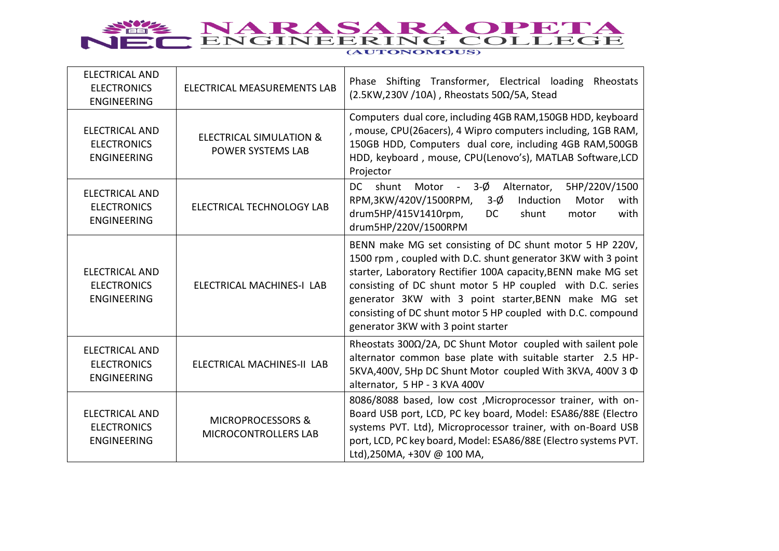

| <b>ELECTRICAL AND</b><br><b>ELECTRONICS</b><br><b>ENGINEERING</b> | ELECTRICAL MEASUREMENTS LAB                             | Phase Shifting Transformer, Electrical loading<br>Rheostats<br>$(2.5KW, 230V / 10A)$ , Rheostats 50 $\Omega$ /5A, Stead                                                                                                                                                                                                                                                                                               |
|-------------------------------------------------------------------|---------------------------------------------------------|-----------------------------------------------------------------------------------------------------------------------------------------------------------------------------------------------------------------------------------------------------------------------------------------------------------------------------------------------------------------------------------------------------------------------|
| <b>ELECTRICAL AND</b><br><b>ELECTRONICS</b><br><b>ENGINEERING</b> | <b>ELECTRICAL SIMULATION &amp;</b><br>POWER SYSTEMS LAB | Computers dual core, including 4GB RAM, 150GB HDD, keyboard<br>, mouse, CPU(26acers), 4 Wipro computers including, 1GB RAM,<br>150GB HDD, Computers dual core, including 4GB RAM,500GB<br>HDD, keyboard, mouse, CPU(Lenovo's), MATLAB Software,LCD<br>Projector                                                                                                                                                       |
| <b>ELECTRICAL AND</b><br><b>ELECTRONICS</b><br><b>ENGINEERING</b> | ELECTRICAL TECHNOLOGY LAB                               | 5HP/220V/1500<br><b>DC</b><br>shunt<br>Motor - $3-\emptyset$<br>Alternator,<br>RPM,3KW/420V/1500RPM,<br>Induction<br>$3-\emptyset$<br>Motor<br>with<br>drum5HP/415V1410rpm,<br>DC<br>shunt<br>with<br>motor<br>drum5HP/220V/1500RPM                                                                                                                                                                                   |
| <b>ELECTRICAL AND</b><br><b>ELECTRONICS</b><br><b>ENGINEERING</b> | ELECTRICAL MACHINES-I LAB                               | BENN make MG set consisting of DC shunt motor 5 HP 220V,<br>1500 rpm, coupled with D.C. shunt generator 3KW with 3 point<br>starter, Laboratory Rectifier 100A capacity, BENN make MG set<br>consisting of DC shunt motor 5 HP coupled with D.C. series<br>generator 3KW with 3 point starter, BENN make MG set<br>consisting of DC shunt motor 5 HP coupled with D.C. compound<br>generator 3KW with 3 point starter |
| <b>ELECTRICAL AND</b><br><b>ELECTRONICS</b><br><b>ENGINEERING</b> | ELECTRICAL MACHINES-II LAB                              | Rheostats 300 $\Omega/2A$ , DC Shunt Motor coupled with sailent pole<br>alternator common base plate with suitable starter 2.5 HP-<br>5KVA, 400V, 5Hp DC Shunt Motor coupled With 3KVA, 400V 3 $\Phi$<br>alternator, 5 HP - 3 KVA 400V                                                                                                                                                                                |
| <b>ELECTRICAL AND</b><br><b>ELECTRONICS</b><br><b>ENGINEERING</b> | <b>MICROPROCESSORS &amp;</b><br>MICROCONTROLLERS LAB    | 8086/8088 based, low cost, Microprocessor trainer, with on-<br>Board USB port, LCD, PC key board, Model: ESA86/88E (Electro<br>systems PVT. Ltd), Microprocessor trainer, with on-Board USB<br>port, LCD, PC key board, Model: ESA86/88E (Electro systems PVT.<br>Ltd),250MA, +30V @ 100 MA,                                                                                                                          |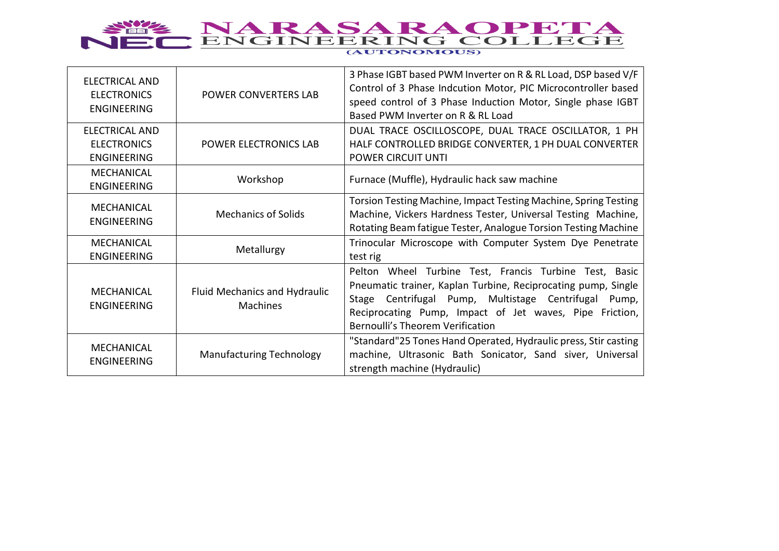

## (AUTONOMOUS)

| <b>ELECTRICAL AND</b><br><b>ELECTRONICS</b><br><b>ENGINEERING</b> | POWER CONVERTERS LAB                             | 3 Phase IGBT based PWM Inverter on R & RL Load, DSP based V/F<br>Control of 3 Phase Indcution Motor, PIC Microcontroller based<br>speed control of 3 Phase Induction Motor, Single phase IGBT<br>Based PWM Inverter on R & RL Load                                                       |
|-------------------------------------------------------------------|--------------------------------------------------|------------------------------------------------------------------------------------------------------------------------------------------------------------------------------------------------------------------------------------------------------------------------------------------|
| <b>ELECTRICAL AND</b><br><b>ELECTRONICS</b><br><b>ENGINEERING</b> | POWER ELECTRONICS LAB                            | DUAL TRACE OSCILLOSCOPE, DUAL TRACE OSCILLATOR, 1 PH<br>HALF CONTROLLED BRIDGE CONVERTER, 1 PH DUAL CONVERTER<br>POWER CIRCUIT UNTI                                                                                                                                                      |
| MECHANICAL<br><b>ENGINEERING</b>                                  | Workshop                                         | Furnace (Muffle), Hydraulic hack saw machine                                                                                                                                                                                                                                             |
| <b>MECHANICAL</b><br><b>ENGINEERING</b>                           | <b>Mechanics of Solids</b>                       | Torsion Testing Machine, Impact Testing Machine, Spring Testing<br>Machine, Vickers Hardness Tester, Universal Testing Machine,<br>Rotating Beam fatigue Tester, Analogue Torsion Testing Machine                                                                                        |
| <b>MECHANICAL</b><br><b>ENGINEERING</b>                           | Metallurgy                                       | Trinocular Microscope with Computer System Dye Penetrate<br>test rig                                                                                                                                                                                                                     |
| MECHANICAL<br><b>ENGINEERING</b>                                  | Fluid Mechanics and Hydraulic<br><b>Machines</b> | Pelton Wheel Turbine Test, Francis Turbine Test, Basic<br>Pneumatic trainer, Kaplan Turbine, Reciprocating pump, Single<br>Stage Centrifugal Pump, Multistage Centrifugal<br>Pump,<br>Reciprocating Pump, Impact of Jet waves, Pipe Friction,<br><b>Bernoulli's Theorem Verification</b> |
| <b>MECHANICAL</b><br><b>ENGINEERING</b>                           | <b>Manufacturing Technology</b>                  | "Standard"25 Tones Hand Operated, Hydraulic press, Stir casting<br>machine, Ultrasonic Bath Sonicator, Sand siver, Universal<br>strength machine (Hydraulic)                                                                                                                             |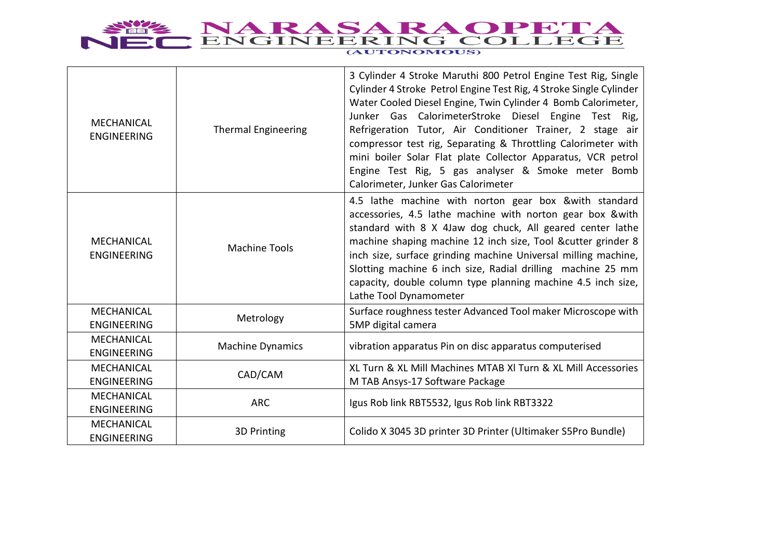

| MECHANICAL<br><b>ENGINEERING</b>        | <b>Thermal Engineering</b> | 3 Cylinder 4 Stroke Maruthi 800 Petrol Engine Test Rig, Single<br>Cylinder 4 Stroke Petrol Engine Test Rig, 4 Stroke Single Cylinder<br>Water Cooled Diesel Engine, Twin Cylinder 4 Bomb Calorimeter,<br>Junker Gas CalorimeterStroke Diesel Engine Test Rig,<br>Refrigeration Tutor, Air Conditioner Trainer, 2 stage air<br>compressor test rig, Separating & Throttling Calorimeter with<br>mini boiler Solar Flat plate Collector Apparatus, VCR petrol<br>Engine Test Rig, 5 gas analyser & Smoke meter Bomb<br>Calorimeter, Junker Gas Calorimeter |
|-----------------------------------------|----------------------------|----------------------------------------------------------------------------------------------------------------------------------------------------------------------------------------------------------------------------------------------------------------------------------------------------------------------------------------------------------------------------------------------------------------------------------------------------------------------------------------------------------------------------------------------------------|
| <b>MECHANICAL</b><br><b>ENGINEERING</b> | <b>Machine Tools</b>       | 4.5 lathe machine with norton gear box & with standard<br>accessories, 4.5 lathe machine with norton gear box & with<br>standard with 8 X 4Jaw dog chuck, All geared center lathe<br>machine shaping machine 12 inch size, Tool &cutter grinder 8<br>inch size, surface grinding machine Universal milling machine,<br>Slotting machine 6 inch size, Radial drilling machine 25 mm<br>capacity, double column type planning machine 4.5 inch size,<br>Lathe Tool Dynamometer                                                                             |
| <b>MECHANICAL</b><br><b>ENGINEERING</b> | Metrology                  | Surface roughness tester Advanced Tool maker Microscope with<br>5MP digital camera                                                                                                                                                                                                                                                                                                                                                                                                                                                                       |
| MECHANICAL<br><b>ENGINEERING</b>        | <b>Machine Dynamics</b>    | vibration apparatus Pin on disc apparatus computerised                                                                                                                                                                                                                                                                                                                                                                                                                                                                                                   |
| <b>MECHANICAL</b><br><b>ENGINEERING</b> | CAD/CAM                    | XL Turn & XL Mill Machines MTAB XI Turn & XL Mill Accessories<br>M TAB Ansys-17 Software Package                                                                                                                                                                                                                                                                                                                                                                                                                                                         |
| <b>MECHANICAL</b><br><b>ENGINEERING</b> | <b>ARC</b>                 | Igus Rob link RBT5532, Igus Rob link RBT3322                                                                                                                                                                                                                                                                                                                                                                                                                                                                                                             |
| <b>MECHANICAL</b><br><b>ENGINEERING</b> | 3D Printing                | Colido X 3045 3D printer 3D Printer (Ultimaker S5Pro Bundle)                                                                                                                                                                                                                                                                                                                                                                                                                                                                                             |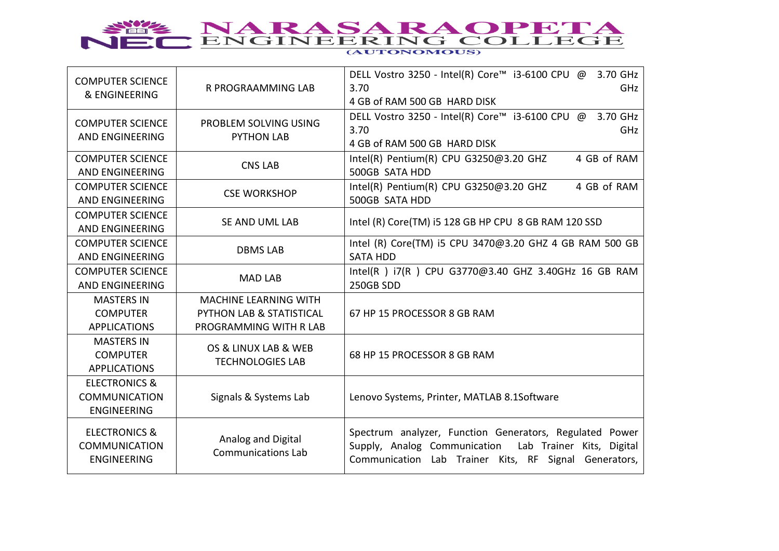

| <b>COMPUTER SCIENCE</b><br>& ENGINEERING   |                           | DELL Vostro 3250 - Intel(R) Core™ i3-6100 CPU @<br>3.70 GHz                                                        |
|--------------------------------------------|---------------------------|--------------------------------------------------------------------------------------------------------------------|
|                                            | <b>R PROGRAAMMING LAB</b> | 3.70<br><b>GHz</b>                                                                                                 |
|                                            |                           | 4 GB of RAM 500 GB HARD DISK                                                                                       |
| <b>COMPUTER SCIENCE</b>                    | PROBLEM SOLVING USING     | DELL Vostro 3250 - Intel(R) Core™ i3-6100 CPU @ 3.70 GHz                                                           |
|                                            |                           | 3.70<br><b>GHz</b>                                                                                                 |
| <b>AND ENGINEERING</b>                     | <b>PYTHON LAB</b>         | 4 GB of RAM 500 GB HARD DISK                                                                                       |
| <b>COMPUTER SCIENCE</b>                    |                           | Intel(R) Pentium(R) CPU G3250@3.20 GHZ<br>4 GB of RAM                                                              |
| <b>AND ENGINEERING</b>                     | <b>CNS LAB</b>            | 500GB SATA HDD                                                                                                     |
| <b>COMPUTER SCIENCE</b>                    |                           | Intel(R) Pentium(R) CPU G3250@3.20 GHZ<br>4 GB of RAM                                                              |
| AND ENGINEERING                            | <b>CSE WORKSHOP</b>       | 500GB SATA HDD                                                                                                     |
| <b>COMPUTER SCIENCE</b>                    |                           |                                                                                                                    |
| <b>AND ENGINEERING</b>                     | SE AND UML LAB            | Intel (R) Core(TM) i5 128 GB HP CPU 8 GB RAM 120 SSD                                                               |
| <b>COMPUTER SCIENCE</b>                    |                           | Intel (R) Core(TM) i5 CPU 3470@3.20 GHZ 4 GB RAM 500 GB                                                            |
| AND ENGINEERING                            | <b>DBMS LAB</b>           | <b>SATA HDD</b>                                                                                                    |
| <b>COMPUTER SCIENCE</b>                    |                           | Intel(R) i7(R) CPU G3770@3.40 GHZ 3.40GHz 16 GB RAM                                                                |
| AND ENGINEERING                            | <b>MAD LAB</b>            | 250GB SDD                                                                                                          |
| <b>MASTERS IN</b>                          | MACHINE LEARNING WITH     |                                                                                                                    |
| <b>COMPUTER</b>                            | PYTHON LAB & STATISTICAL  | 67 HP 15 PROCESSOR 8 GB RAM                                                                                        |
| <b>APPLICATIONS</b>                        | PROGRAMMING WITH R LAB    |                                                                                                                    |
| <b>MASTERS IN</b>                          | OS & LINUX LAB & WEB      |                                                                                                                    |
| <b>COMPUTER</b>                            |                           | 68 HP 15 PROCESSOR 8 GB RAM                                                                                        |
| <b>APPLICATIONS</b>                        | <b>TECHNOLOGIES LAB</b>   |                                                                                                                    |
| <b>ELECTRONICS &amp;</b>                   |                           |                                                                                                                    |
| <b>COMMUNICATION</b>                       | Signals & Systems Lab     | Lenovo Systems, Printer, MATLAB 8.1Software                                                                        |
| <b>ENGINEERING</b>                         |                           |                                                                                                                    |
|                                            |                           |                                                                                                                    |
|                                            |                           |                                                                                                                    |
| <b>ELECTRONICS &amp;</b>                   | Analog and Digital        | Spectrum analyzer, Function Generators, Regulated Power                                                            |
| <b>COMMUNICATION</b><br><b>ENGINEERING</b> | <b>Communications Lab</b> | Lab Trainer Kits, Digital<br>Supply, Analog Communication<br>Communication Lab Trainer Kits, RF Signal Generators, |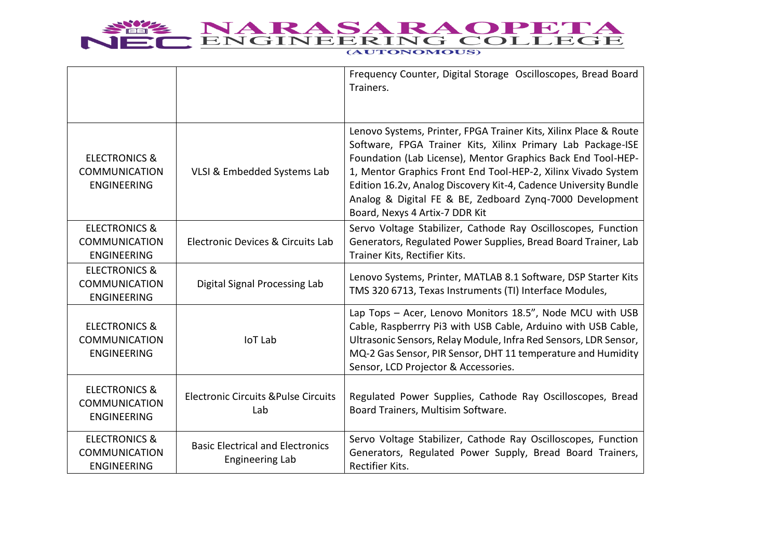

|                                                                        |                                                                   | Frequency Counter, Digital Storage Oscilloscopes, Bread Board<br>Trainers.                                                                                                                                                                                                                                                                                                                                                         |
|------------------------------------------------------------------------|-------------------------------------------------------------------|------------------------------------------------------------------------------------------------------------------------------------------------------------------------------------------------------------------------------------------------------------------------------------------------------------------------------------------------------------------------------------------------------------------------------------|
| <b>ELECTRONICS &amp;</b><br><b>COMMUNICATION</b><br><b>ENGINEERING</b> | VLSI & Embedded Systems Lab                                       | Lenovo Systems, Printer, FPGA Trainer Kits, Xilinx Place & Route<br>Software, FPGA Trainer Kits, Xilinx Primary Lab Package-ISE<br>Foundation (Lab License), Mentor Graphics Back End Tool-HEP-<br>1, Mentor Graphics Front End Tool-HEP-2, Xilinx Vivado System<br>Edition 16.2v, Analog Discovery Kit-4, Cadence University Bundle<br>Analog & Digital FE & BE, Zedboard Zyng-7000 Development<br>Board, Nexys 4 Artix-7 DDR Kit |
| <b>ELECTRONICS &amp;</b><br><b>COMMUNICATION</b><br><b>ENGINEERING</b> | Electronic Devices & Circuits Lab                                 | Servo Voltage Stabilizer, Cathode Ray Oscilloscopes, Function<br>Generators, Regulated Power Supplies, Bread Board Trainer, Lab<br>Trainer Kits, Rectifier Kits.                                                                                                                                                                                                                                                                   |
| <b>ELECTRONICS &amp;</b><br><b>COMMUNICATION</b><br><b>ENGINEERING</b> | Digital Signal Processing Lab                                     | Lenovo Systems, Printer, MATLAB 8.1 Software, DSP Starter Kits<br>TMS 320 6713, Texas Instruments (TI) Interface Modules,                                                                                                                                                                                                                                                                                                          |
| <b>ELECTRONICS &amp;</b><br><b>COMMUNICATION</b><br><b>ENGINEERING</b> | <b>IoT Lab</b>                                                    | Lap Tops - Acer, Lenovo Monitors 18.5", Node MCU with USB<br>Cable, Raspberrry Pi3 with USB Cable, Arduino with USB Cable,<br>Ultrasonic Sensors, Relay Module, Infra Red Sensors, LDR Sensor,<br>MQ-2 Gas Sensor, PIR Sensor, DHT 11 temperature and Humidity<br>Sensor, LCD Projector & Accessories.                                                                                                                             |
| <b>ELECTRONICS &amp;</b><br><b>COMMUNICATION</b><br><b>ENGINEERING</b> | <b>Electronic Circuits &amp; Pulse Circuits</b><br>Lab            | Regulated Power Supplies, Cathode Ray Oscilloscopes, Bread<br>Board Trainers, Multisim Software.                                                                                                                                                                                                                                                                                                                                   |
| <b>ELECTRONICS &amp;</b><br><b>COMMUNICATION</b><br><b>ENGINEERING</b> | <b>Basic Electrical and Electronics</b><br><b>Engineering Lab</b> | Servo Voltage Stabilizer, Cathode Ray Oscilloscopes, Function<br>Generators, Regulated Power Supply, Bread Board Trainers,<br>Rectifier Kits.                                                                                                                                                                                                                                                                                      |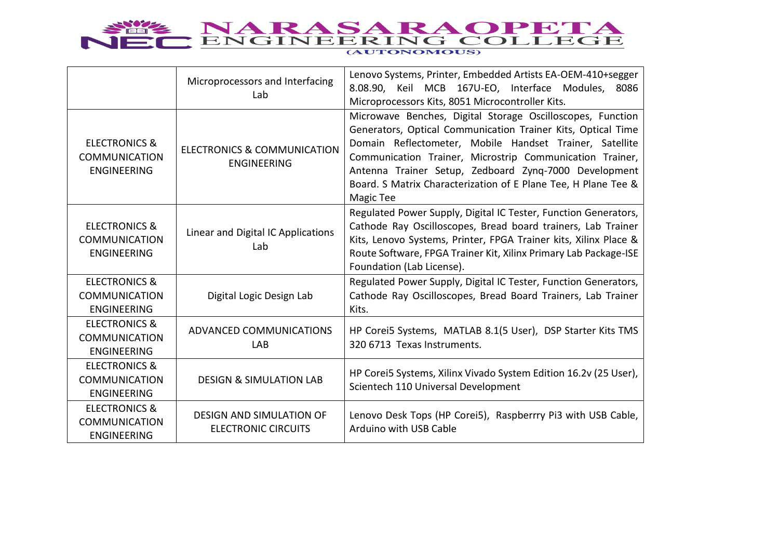

|                                                                        | Microprocessors and Interfacing<br>Lab                        | Lenovo Systems, Printer, Embedded Artists EA-OEM-410+segger<br>8.08.90, Keil MCB 167U-EO, Interface Modules, 8086<br>Microprocessors Kits, 8051 Microcontroller Kits.                                                                                                                                                                                                                     |
|------------------------------------------------------------------------|---------------------------------------------------------------|-------------------------------------------------------------------------------------------------------------------------------------------------------------------------------------------------------------------------------------------------------------------------------------------------------------------------------------------------------------------------------------------|
| <b>ELECTRONICS &amp;</b><br><b>COMMUNICATION</b><br><b>ENGINEERING</b> | <b>ELECTRONICS &amp; COMMUNICATION</b><br><b>ENGINEERING</b>  | Microwave Benches, Digital Storage Oscilloscopes, Function<br>Generators, Optical Communication Trainer Kits, Optical Time<br>Domain Reflectometer, Mobile Handset Trainer, Satellite<br>Communication Trainer, Microstrip Communication Trainer,<br>Antenna Trainer Setup, Zedboard Zyng-7000 Development<br>Board. S Matrix Characterization of E Plane Tee, H Plane Tee &<br>Magic Tee |
| <b>ELECTRONICS &amp;</b><br><b>COMMUNICATION</b><br><b>ENGINEERING</b> | Linear and Digital IC Applications<br>Lab                     | Regulated Power Supply, Digital IC Tester, Function Generators,<br>Cathode Ray Oscilloscopes, Bread board trainers, Lab Trainer<br>Kits, Lenovo Systems, Printer, FPGA Trainer kits, Xilinx Place &<br>Route Software, FPGA Trainer Kit, Xilinx Primary Lab Package-ISE<br>Foundation (Lab License).                                                                                      |
| <b>ELECTRONICS &amp;</b><br><b>COMMUNICATION</b><br><b>ENGINEERING</b> | Digital Logic Design Lab                                      | Regulated Power Supply, Digital IC Tester, Function Generators,<br>Cathode Ray Oscilloscopes, Bread Board Trainers, Lab Trainer<br>Kits.                                                                                                                                                                                                                                                  |
| <b>ELECTRONICS &amp;</b><br><b>COMMUNICATION</b><br><b>ENGINEERING</b> | ADVANCED COMMUNICATIONS<br>LAB                                | HP Corei5 Systems, MATLAB 8.1(5 User), DSP Starter Kits TMS<br>320 6713 Texas Instruments.                                                                                                                                                                                                                                                                                                |
| <b>ELECTRONICS &amp;</b><br>COMMUNICATION<br><b>ENGINEERING</b>        | <b>DESIGN &amp; SIMULATION LAB</b>                            | HP Corei5 Systems, Xilinx Vivado System Edition 16.2v (25 User),<br>Scientech 110 Universal Development                                                                                                                                                                                                                                                                                   |
| <b>ELECTRONICS &amp;</b><br><b>COMMUNICATION</b><br><b>ENGINEERING</b> | <b>DESIGN AND SIMULATION OF</b><br><b>ELECTRONIC CIRCUITS</b> | Lenovo Desk Tops (HP Corei5), Raspberrry Pi3 with USB Cable,<br>Arduino with USB Cable                                                                                                                                                                                                                                                                                                    |